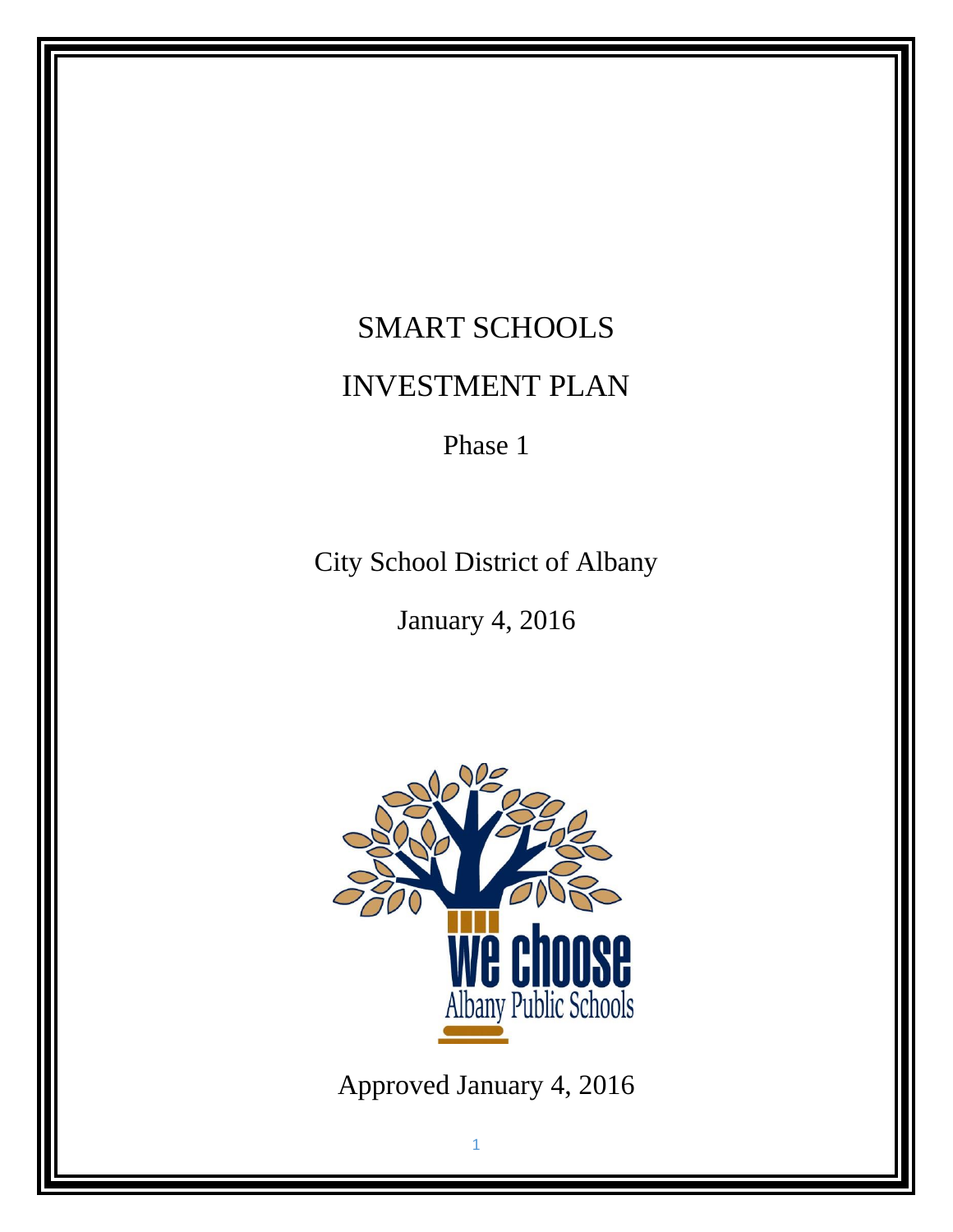# SMART SCHOOLS INVESTMENT PLAN

Phase 1

City School District of Albany

January 4, 2016



Approved January 4, 2016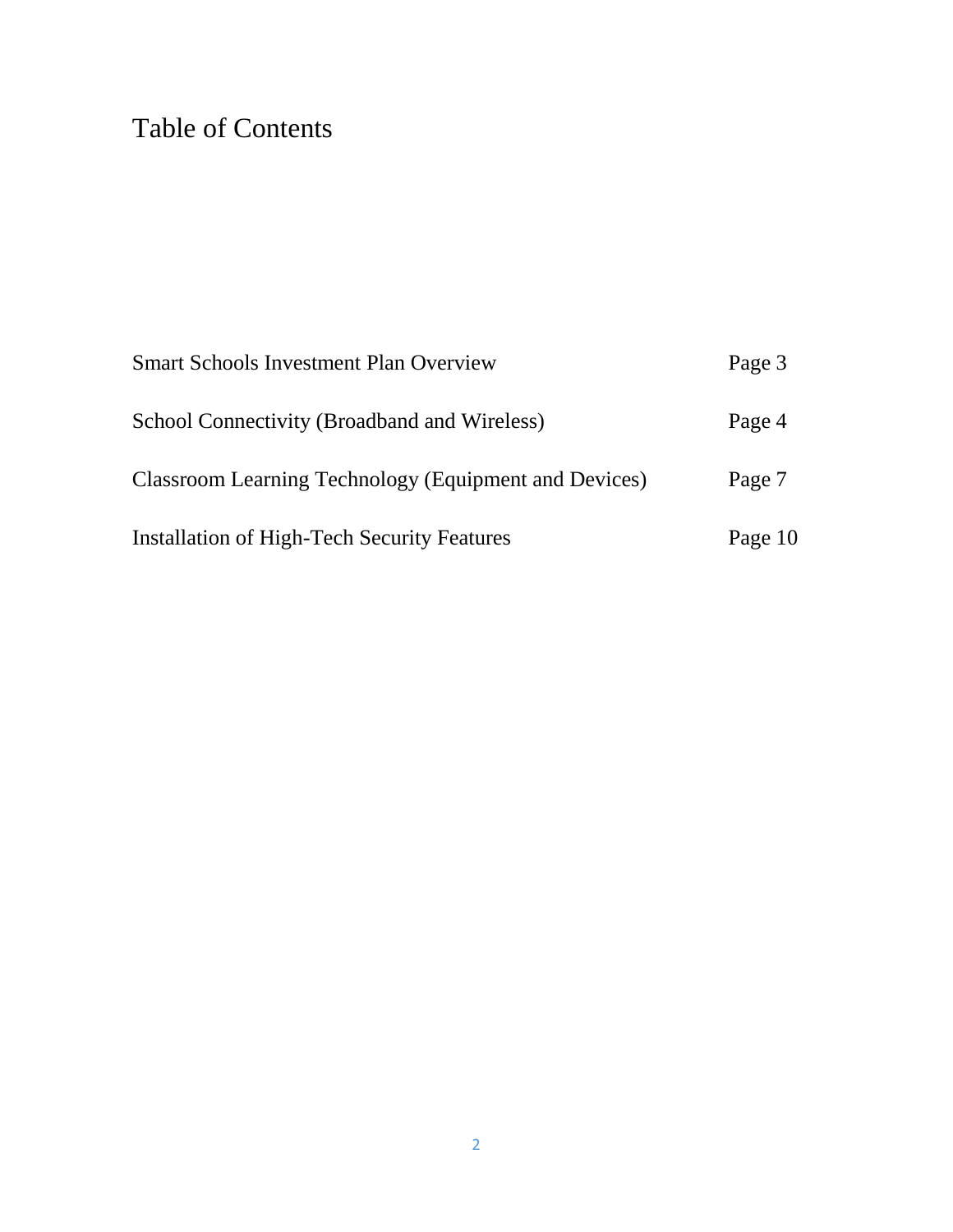## Table of Contents

| <b>Smart Schools Investment Plan Overview</b>         | Page 3  |
|-------------------------------------------------------|---------|
| School Connectivity (Broadband and Wireless)          | Page 4  |
| Classroom Learning Technology (Equipment and Devices) | Page 7  |
| <b>Installation of High-Tech Security Features</b>    | Page 10 |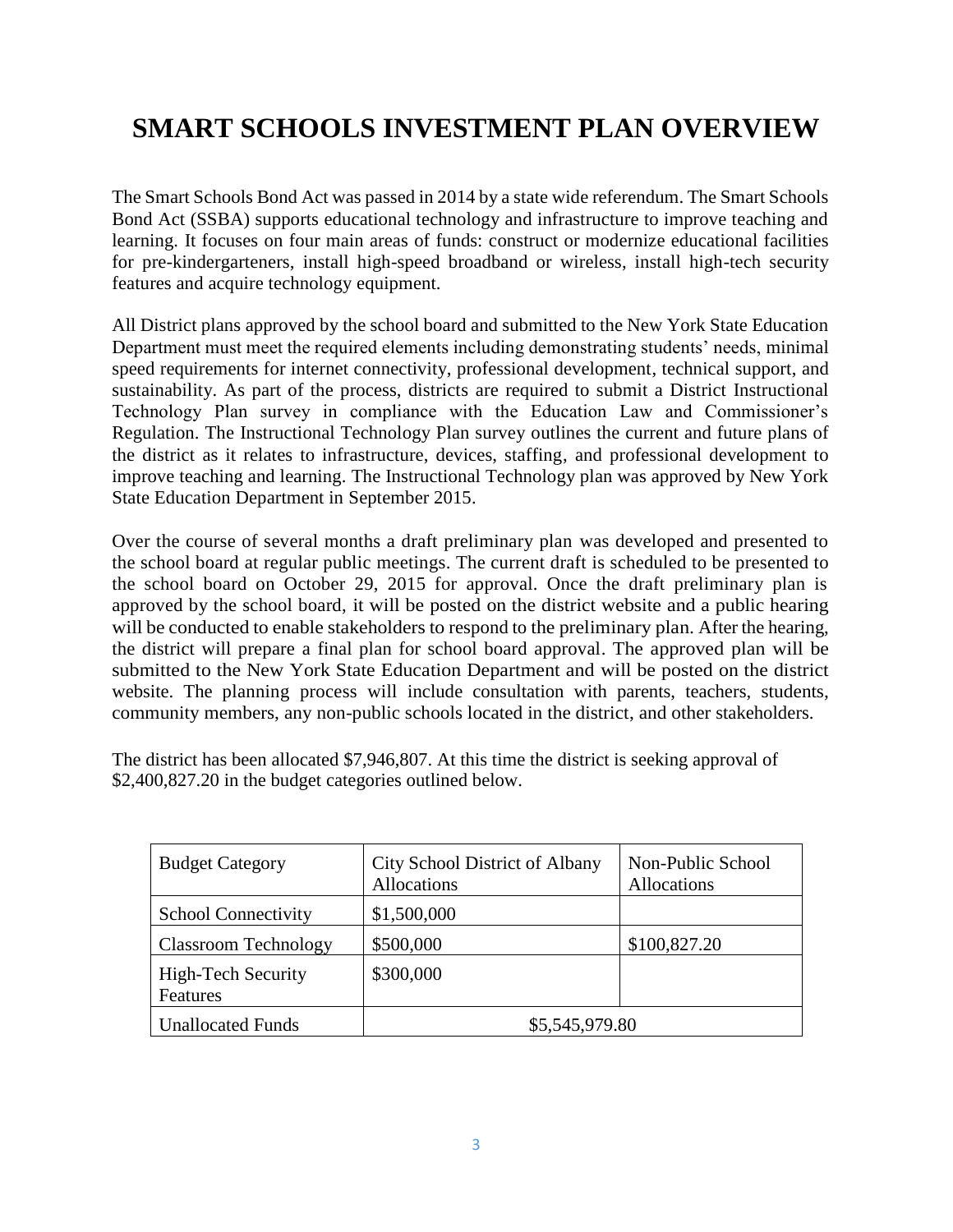### **SMART SCHOOLS INVESTMENT PLAN OVERVIEW**

The Smart Schools Bond Act was passed in 2014 by a state wide referendum. The Smart Schools Bond Act (SSBA) supports educational technology and infrastructure to improve teaching and learning. It focuses on four main areas of funds: construct or modernize educational facilities for pre-kindergarteners, install high-speed broadband or wireless, install high-tech security features and acquire technology equipment.

All District plans approved by the school board and submitted to the New York State Education Department must meet the required elements including demonstrating students' needs, minimal speed requirements for internet connectivity, professional development, technical support, and sustainability. As part of the process, districts are required to submit a District Instructional Technology Plan survey in compliance with the Education Law and Commissioner's Regulation. The Instructional Technology Plan survey outlines the current and future plans of the district as it relates to infrastructure, devices, staffing, and professional development to improve teaching and learning. The Instructional Technology plan was approved by New York State Education Department in September 2015.

Over the course of several months a draft preliminary plan was developed and presented to the school board at regular public meetings. The current draft is scheduled to be presented to the school board on October 29, 2015 for approval. Once the draft preliminary plan is approved by the school board, it will be posted on the district website and a public hearing will be conducted to enable stakeholders to respond to the preliminary plan. After the hearing, the district will prepare a final plan for school board approval. The approved plan will be submitted to the New York State Education Department and will be posted on the district website. The planning process will include consultation with parents, teachers, students, community members, any non-public schools located in the district, and other stakeholders.

The district has been allocated \$7,946,807. At this time the district is seeking approval of \$2,400,827.20 in the budget categories outlined below.

| <b>Budget Category</b>                | City School District of Albany<br>Allocations | Non-Public School<br>Allocations |
|---------------------------------------|-----------------------------------------------|----------------------------------|
| <b>School Connectivity</b>            | \$1,500,000                                   |                                  |
| <b>Classroom Technology</b>           | \$500,000                                     | \$100,827.20                     |
| <b>High-Tech Security</b><br>Features | \$300,000                                     |                                  |
| <b>Unallocated Funds</b>              | \$5,545,979.80                                |                                  |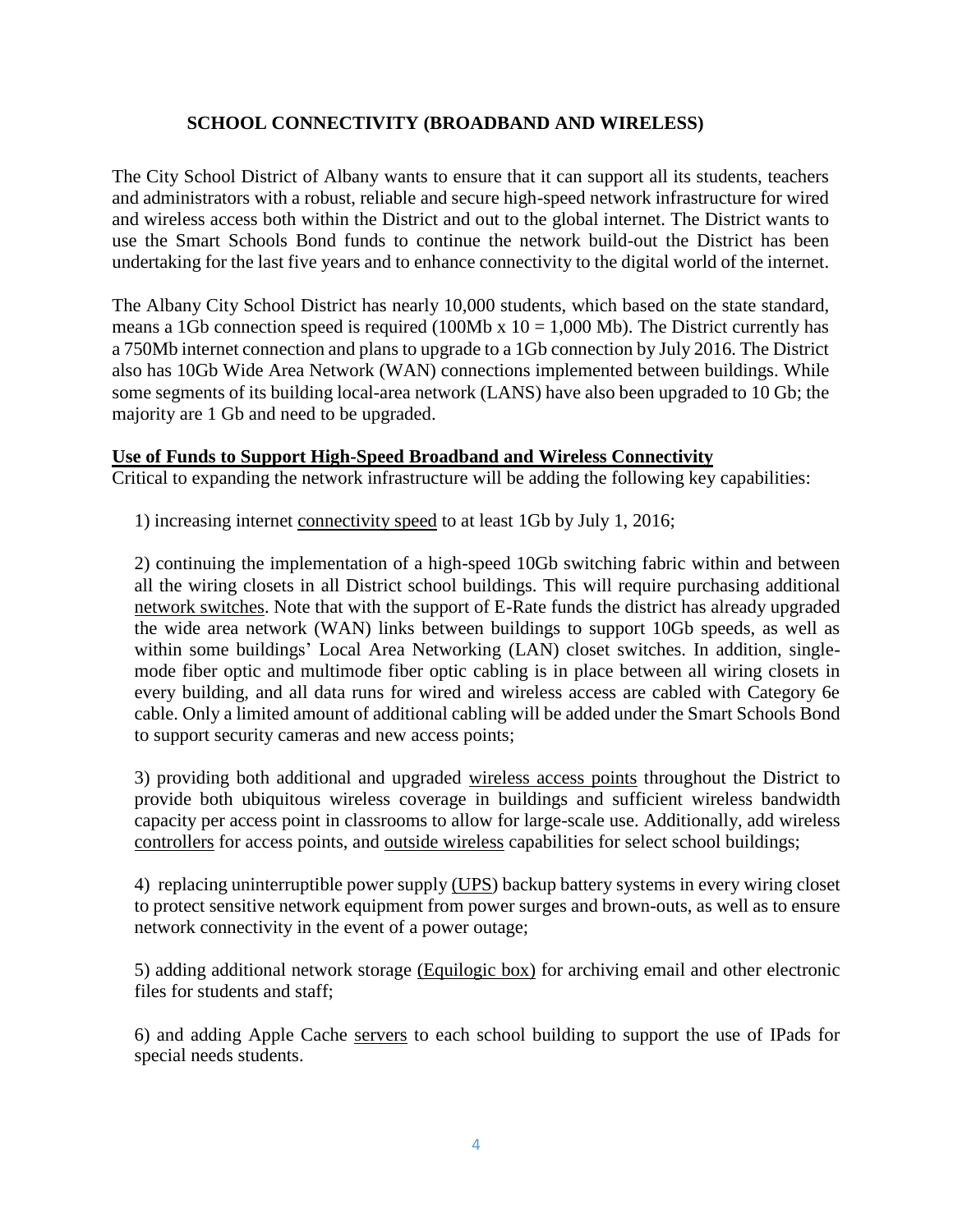#### **SCHOOL CONNECTIVITY (BROADBAND AND WIRELESS)**

The City School District of Albany wants to ensure that it can support all its students, teachers and administrators with a robust, reliable and secure high-speed network infrastructure for wired and wireless access both within the District and out to the global internet. The District wants to use the Smart Schools Bond funds to continue the network build-out the District has been undertaking for the last five years and to enhance connectivity to the digital world of the internet.

The Albany City School District has nearly 10,000 students, which based on the state standard, means a 1Gb connection speed is required (100Mb x  $10 = 1,000$  Mb). The District currently has a 750Mb internet connection and plans to upgrade to a 1Gb connection by July 2016. The District also has 10Gb Wide Area Network (WAN) connections implemented between buildings. While some segments of its building local-area network (LANS) have also been upgraded to 10 Gb; the majority are 1 Gb and need to be upgraded.

#### **Use of Funds to Support High-Speed Broadband and Wireless Connectivity**

Critical to expanding the network infrastructure will be adding the following key capabilities:

1) increasing internet connectivity speed to at least 1Gb by July 1, 2016;

2) continuing the implementation of a high-speed 10Gb switching fabric within and between all the wiring closets in all District school buildings. This will require purchasing additional network switches. Note that with the support of E-Rate funds the district has already upgraded the wide area network (WAN) links between buildings to support 10Gb speeds, as well as within some buildings' Local Area Networking (LAN) closet switches. In addition, singlemode fiber optic and multimode fiber optic cabling is in place between all wiring closets in every building, and all data runs for wired and wireless access are cabled with Category 6e cable. Only a limited amount of additional cabling will be added under the Smart Schools Bond to support security cameras and new access points;

3) providing both additional and upgraded wireless access points throughout the District to provide both ubiquitous wireless coverage in buildings and sufficient wireless bandwidth capacity per access point in classrooms to allow for large-scale use. Additionally, add wireless controllers for access points, and outside wireless capabilities for select school buildings;

4) replacing uninterruptible power supply (UPS) backup battery systems in every wiring closet to protect sensitive network equipment from power surges and brown-outs, as well as to ensure network connectivity in the event of a power outage;

5) adding additional network storage (Equilogic box) for archiving email and other electronic files for students and staff;

6) and adding Apple Cache servers to each school building to support the use of IPads for special needs students.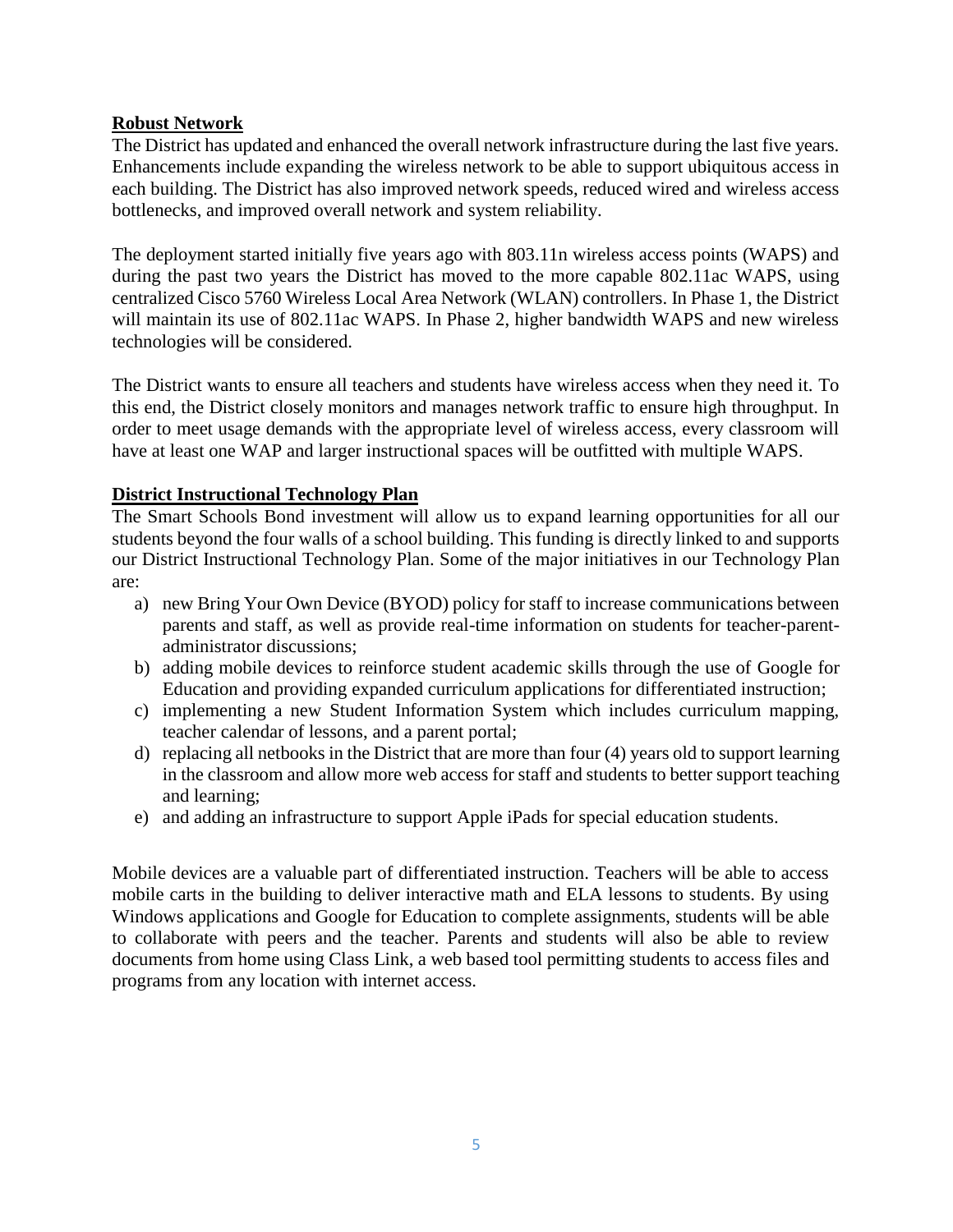#### **Robust Network**

The District has updated and enhanced the overall network infrastructure during the last five years. Enhancements include expanding the wireless network to be able to support ubiquitous access in each building. The District has also improved network speeds, reduced wired and wireless access bottlenecks, and improved overall network and system reliability.

The deployment started initially five years ago with 803.11n wireless access points (WAPS) and during the past two years the District has moved to the more capable 802.11ac WAPS, using centralized Cisco 5760 Wireless Local Area Network (WLAN) controllers. In Phase 1, the District will maintain its use of 802.11ac WAPS. In Phase 2, higher bandwidth WAPS and new wireless technologies will be considered.

The District wants to ensure all teachers and students have wireless access when they need it. To this end, the District closely monitors and manages network traffic to ensure high throughput. In order to meet usage demands with the appropriate level of wireless access, every classroom will have at least one WAP and larger instructional spaces will be outfitted with multiple WAPS.

#### **District Instructional Technology Plan**

The Smart Schools Bond investment will allow us to expand learning opportunities for all our students beyond the four walls of a school building. This funding is directly linked to and supports our District Instructional Technology Plan. Some of the major initiatives in our Technology Plan are:

- a) new Bring Your Own Device (BYOD) policy for staff to increase communications between parents and staff, as well as provide real-time information on students for teacher-parentadministrator discussions;
- b) adding mobile devices to reinforce student academic skills through the use of Google for Education and providing expanded curriculum applications for differentiated instruction;
- c) implementing a new Student Information System which includes curriculum mapping, teacher calendar of lessons, and a parent portal;
- d) replacing all netbooks in the District that are more than four (4) years old to support learning in the classroom and allow more web access for staff and students to better support teaching and learning;
- e) and adding an infrastructure to support Apple iPads for special education students.

Mobile devices are a valuable part of differentiated instruction. Teachers will be able to access mobile carts in the building to deliver interactive math and ELA lessons to students. By using Windows applications and Google for Education to complete assignments, students will be able to collaborate with peers and the teacher. Parents and students will also be able to review documents from home using Class Link, a web based tool permitting students to access files and programs from any location with internet access.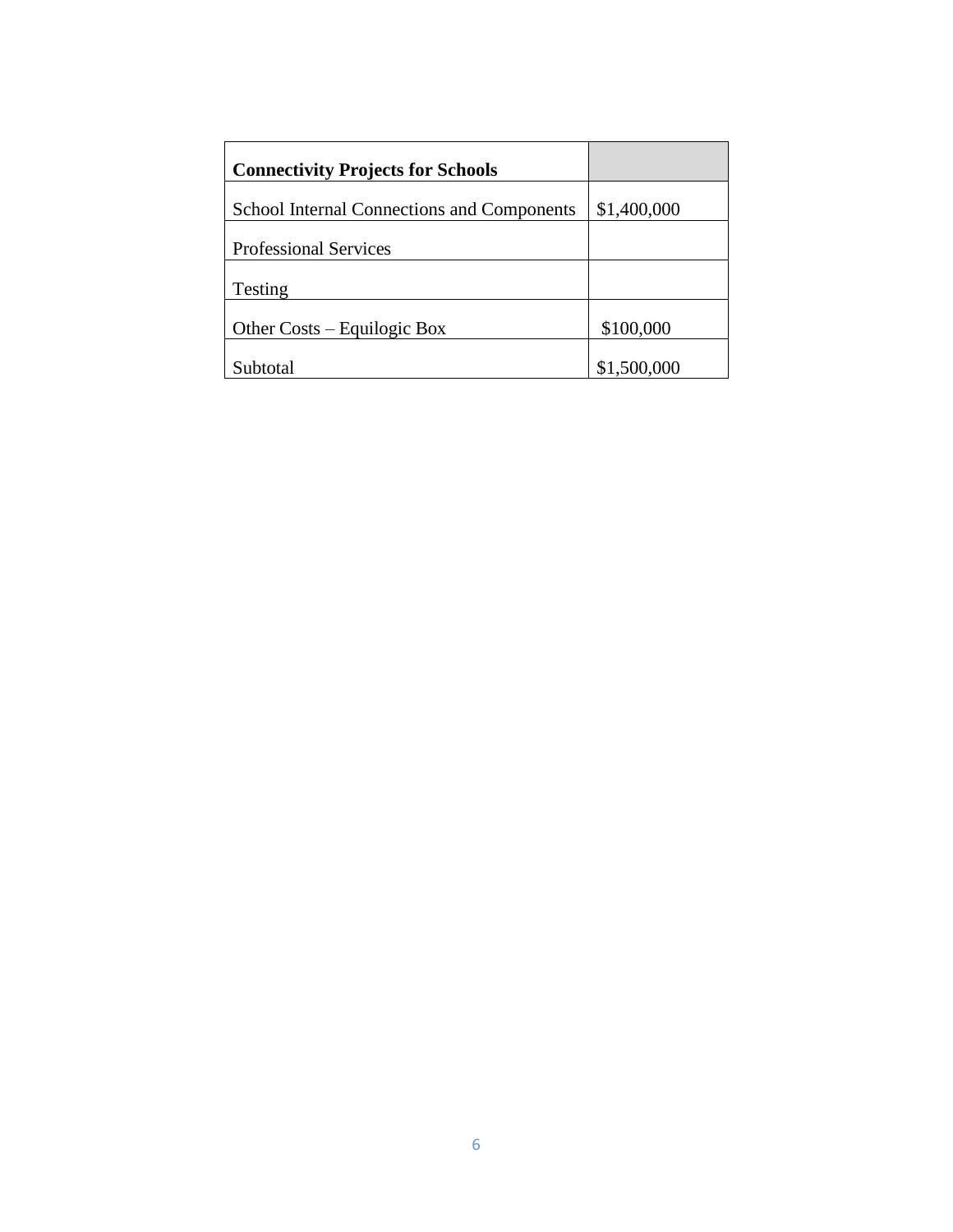| <b>Connectivity Projects for Schools</b>          |             |
|---------------------------------------------------|-------------|
| <b>School Internal Connections and Components</b> | \$1,400,000 |
| <b>Professional Services</b>                      |             |
| Testing                                           |             |
| Other Costs – Equilogic Box                       | \$100,000   |
| Subtotal                                          | \$1,500,000 |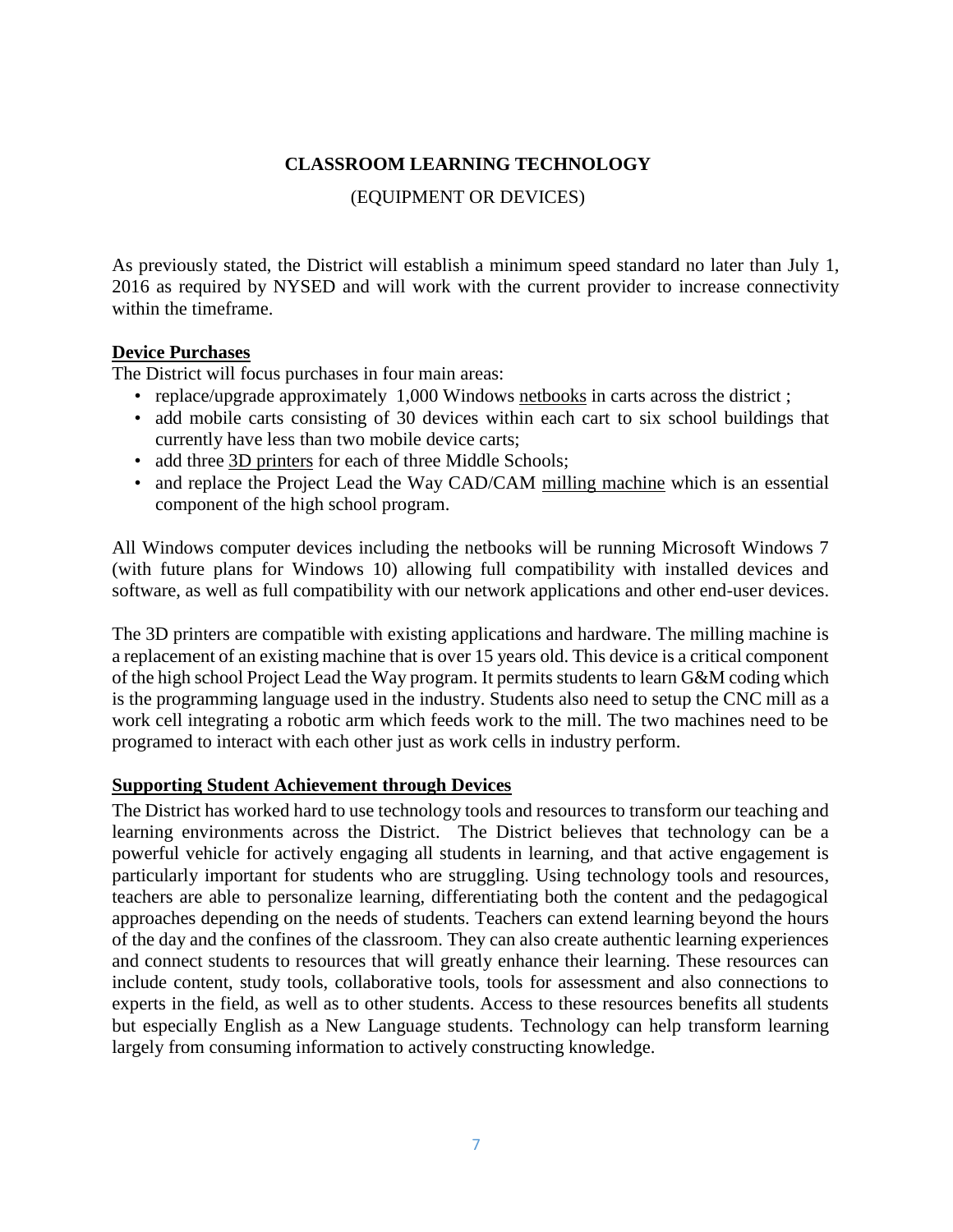#### **CLASSROOM LEARNING TECHNOLOGY**

#### (EQUIPMENT OR DEVICES)

As previously stated, the District will establish a minimum speed standard no later than July 1, 2016 as required by NYSED and will work with the current provider to increase connectivity within the timeframe.

#### **Device Purchases**

The District will focus purchases in four main areas:

- replace/upgrade approximately 1,000 Windows netbooks in carts across the district;
- add mobile carts consisting of 30 devices within each cart to six school buildings that currently have less than two mobile device carts;
- add three 3D printers for each of three Middle Schools;
- and replace the Project Lead the Way CAD/CAM milling machine which is an essential component of the high school program.

All Windows computer devices including the netbooks will be running Microsoft Windows 7 (with future plans for Windows 10) allowing full compatibility with installed devices and software, as well as full compatibility with our network applications and other end-user devices.

The 3D printers are compatible with existing applications and hardware. The milling machine is a replacement of an existing machine that is over 15 years old. This device is a critical component of the high school Project Lead the Way program. It permits students to learn G&M coding which is the programming language used in the industry. Students also need to setup the CNC mill as a work cell integrating a robotic arm which feeds work to the mill. The two machines need to be programed to interact with each other just as work cells in industry perform.

#### **Supporting Student Achievement through Devices**

The District has worked hard to use technology tools and resources to transform our teaching and learning environments across the District. The District believes that technology can be a powerful vehicle for actively engaging all students in learning, and that active engagement is particularly important for students who are struggling. Using technology tools and resources, teachers are able to personalize learning, differentiating both the content and the pedagogical approaches depending on the needs of students. Teachers can extend learning beyond the hours of the day and the confines of the classroom. They can also create authentic learning experiences and connect students to resources that will greatly enhance their learning. These resources can include content, study tools, collaborative tools, tools for assessment and also connections to experts in the field, as well as to other students. Access to these resources benefits all students but especially English as a New Language students. Technology can help transform learning largely from consuming information to actively constructing knowledge.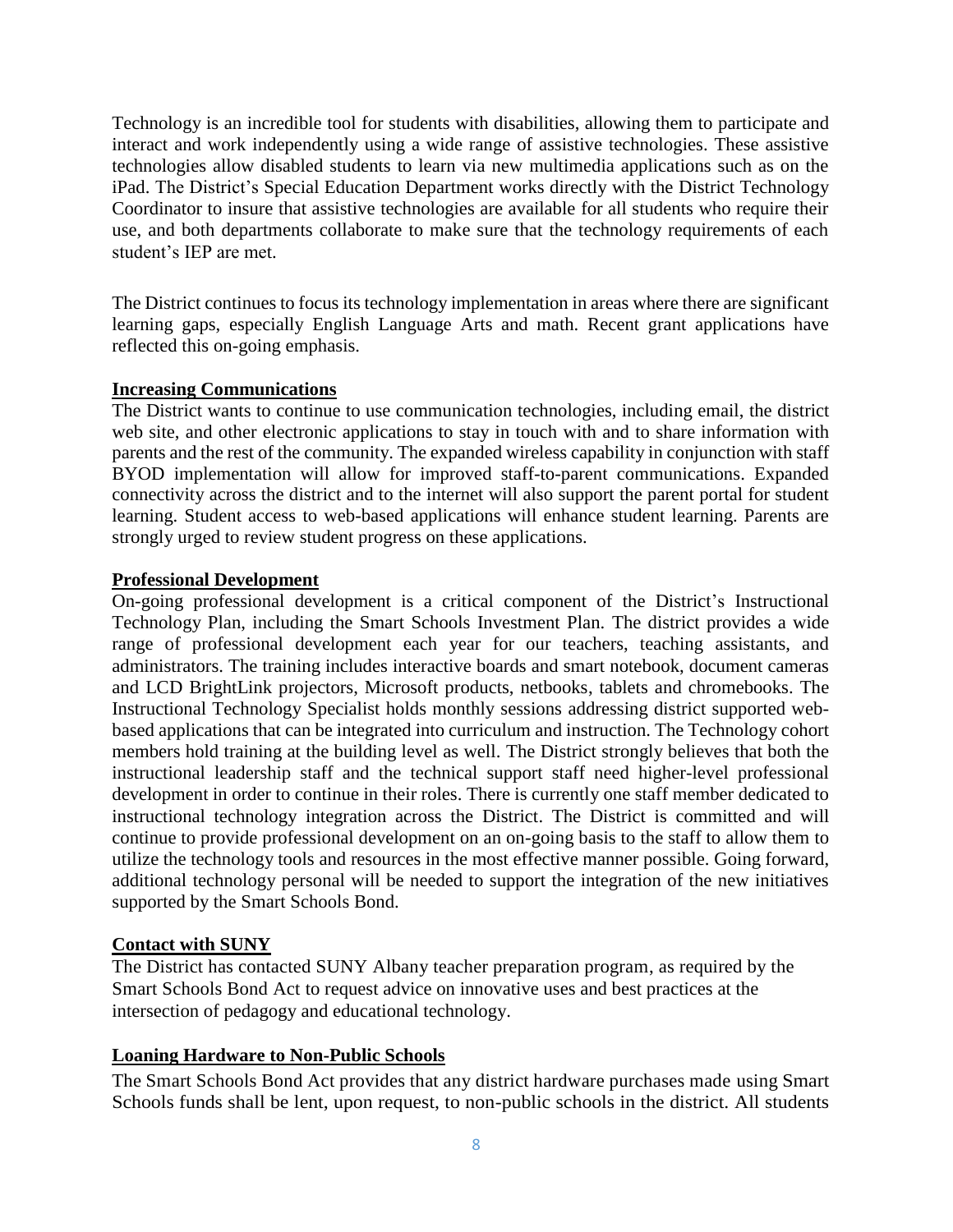Technology is an incredible tool for students with disabilities, allowing them to participate and interact and work independently using a wide range of assistive technologies. These assistive technologies allow disabled students to learn via new multimedia applications such as on the iPad. The District's Special Education Department works directly with the District Technology Coordinator to insure that assistive technologies are available for all students who require their use, and both departments collaborate to make sure that the technology requirements of each student's IEP are met.

The District continues to focus its technology implementation in areas where there are significant learning gaps, especially English Language Arts and math. Recent grant applications have reflected this on-going emphasis.

#### **Increasing Communications**

The District wants to continue to use communication technologies, including email, the district web site, and other electronic applications to stay in touch with and to share information with parents and the rest of the community. The expanded wireless capability in conjunction with staff BYOD implementation will allow for improved staff-to-parent communications. Expanded connectivity across the district and to the internet will also support the parent portal for student learning. Student access to web-based applications will enhance student learning. Parents are strongly urged to review student progress on these applications.

#### **Professional Development**

On-going professional development is a critical component of the District's Instructional Technology Plan, including the Smart Schools Investment Plan. The district provides a wide range of professional development each year for our teachers, teaching assistants, and administrators. The training includes interactive boards and smart notebook, document cameras and LCD BrightLink projectors, Microsoft products, netbooks, tablets and chromebooks. The Instructional Technology Specialist holds monthly sessions addressing district supported webbased applications that can be integrated into curriculum and instruction. The Technology cohort members hold training at the building level as well. The District strongly believes that both the instructional leadership staff and the technical support staff need higher-level professional development in order to continue in their roles. There is currently one staff member dedicated to instructional technology integration across the District. The District is committed and will continue to provide professional development on an on-going basis to the staff to allow them to utilize the technology tools and resources in the most effective manner possible. Going forward, additional technology personal will be needed to support the integration of the new initiatives supported by the Smart Schools Bond.

#### **Contact with SUNY**

The District has contacted SUNY Albany teacher preparation program, as required by the Smart Schools Bond Act to request advice on innovative uses and best practices at the intersection of pedagogy and educational technology.

#### **Loaning Hardware to Non-Public Schools**

The Smart Schools Bond Act provides that any district hardware purchases made using Smart Schools funds shall be lent, upon request, to non-public schools in the district. All students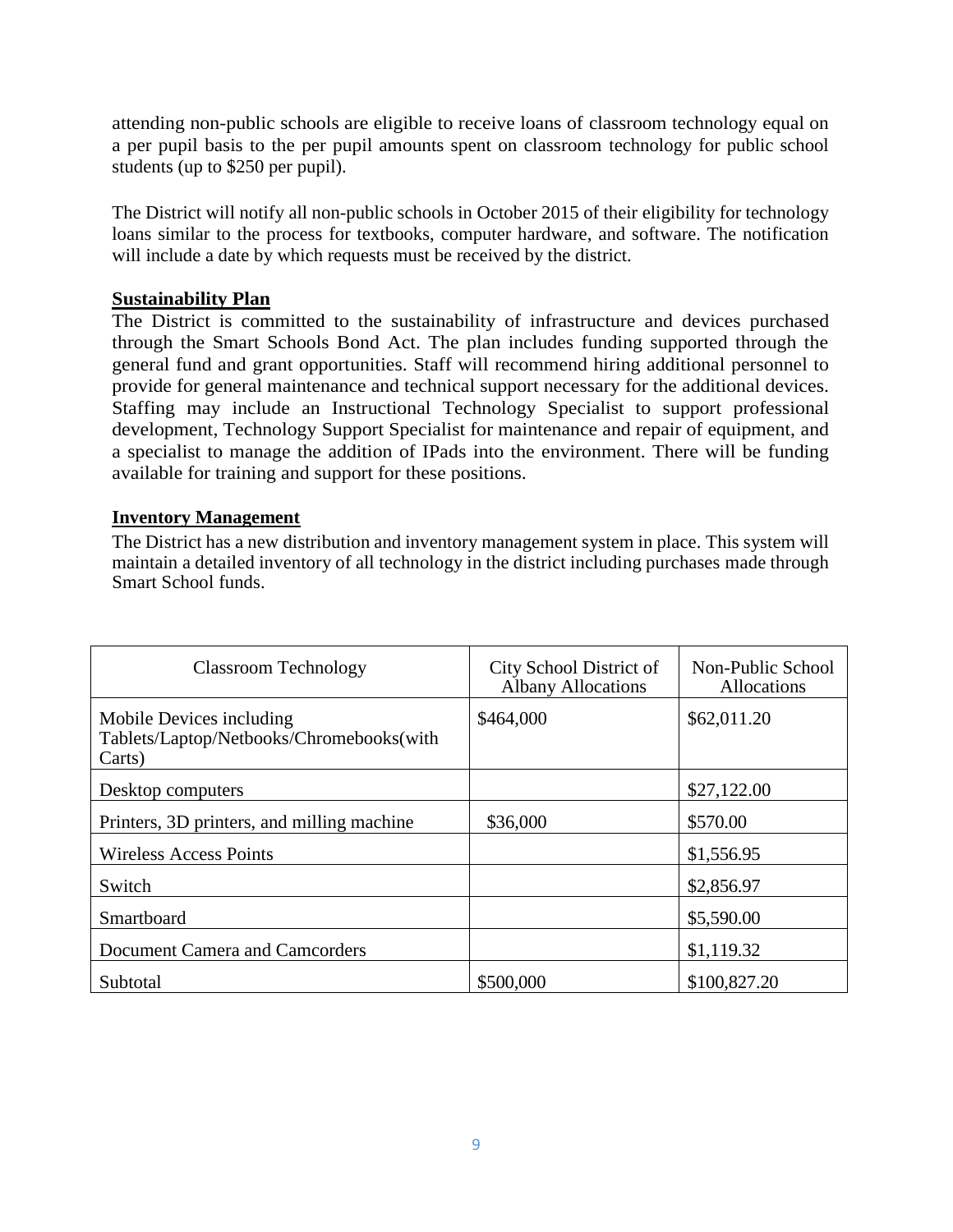attending non-public schools are eligible to receive loans of classroom technology equal on a per pupil basis to the per pupil amounts spent on classroom technology for public school students (up to \$250 per pupil).

The District will notify all non-public schools in October 2015 of their eligibility for technology loans similar to the process for textbooks, computer hardware, and software. The notification will include a date by which requests must be received by the district.

#### **Sustainability Plan**

The District is committed to the sustainability of infrastructure and devices purchased through the Smart Schools Bond Act. The plan includes funding supported through the general fund and grant opportunities. Staff will recommend hiring additional personnel to provide for general maintenance and technical support necessary for the additional devices. Staffing may include an Instructional Technology Specialist to support professional development, Technology Support Specialist for maintenance and repair of equipment, and a specialist to manage the addition of IPads into the environment. There will be funding available for training and support for these positions.

#### **Inventory Management**

The District has a new distribution and inventory management system in place. This system will maintain a detailed inventory of all technology in the district including purchases made through Smart School funds.

| <b>Classroom Technology</b>                                                    | City School District of<br><b>Albany Allocations</b> | Non-Public School<br>Allocations |
|--------------------------------------------------------------------------------|------------------------------------------------------|----------------------------------|
| Mobile Devices including<br>Tablets/Laptop/Netbooks/Chromebooks(with<br>Carts) | \$464,000                                            | \$62,011.20                      |
| Desktop computers                                                              |                                                      | \$27,122.00                      |
| Printers, 3D printers, and milling machine                                     | \$36,000                                             | \$570.00                         |
| <b>Wireless Access Points</b>                                                  |                                                      | \$1,556.95                       |
| Switch                                                                         |                                                      | \$2,856.97                       |
| Smartboard                                                                     |                                                      | \$5,590.00                       |
| Document Camera and Camcorders                                                 |                                                      | \$1,119.32                       |
| Subtotal                                                                       | \$500,000                                            | \$100,827.20                     |